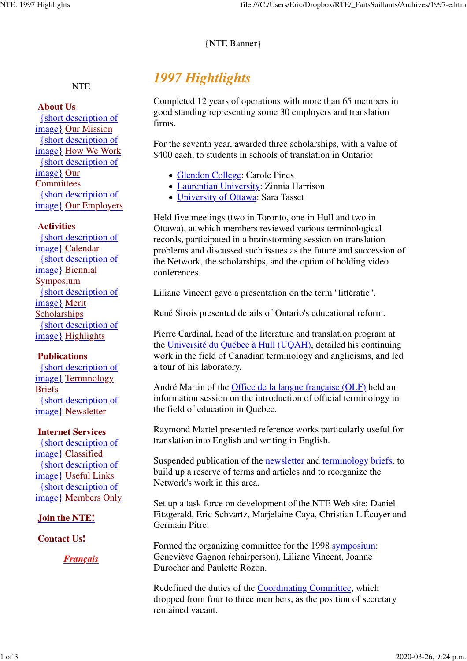## {NTE Banner}

# **NTE**

## **About Us**

{short description of image} Our Mission {short description of image} How We Work {short description of image} Our **Committees** {short description of image} Our Employers

### **Activities**

{short description of image} Calendar {short description of image} Biennial **Symposium** {short description of image} Merit **Scholarships** {short description of image} Highlights

## **Publications**

{short description of image} Terminology Briefs {short description of image} Newsletter

### **Internet Services**

{short description of image} Classified {short description of image} Useful Links {short description of image} Members Only

## **Join the NTE!**

## **Contact Us!**

*Français*

# *1997 Hightlights*

Completed 12 years of operations with more than 65 members in good standing representing some 30 employers and translation firms.

For the seventh year, awarded three scholarships, with a value of \$400 each, to students in schools of translation in Ontario:

- Glendon College: Carole Pines
- Laurentian University: Zinnia Harrison
- University of Ottawa: Sara Tasset

Held five meetings (two in Toronto, one in Hull and two in Ottawa), at which members reviewed various terminological records, participated in a brainstorming session on translation problems and discussed such issues as the future and succession of the Network, the scholarships, and the option of holding video conferences.

Liliane Vincent gave a presentation on the term "littératie".

René Sirois presented details of Ontario's educational reform.

Pierre Cardinal, head of the literature and translation program at the Université du Québec à Hull (UQAH), detailed his continuing work in the field of Canadian terminology and anglicisms, and led a tour of his laboratory.

André Martin of the Office de la langue française (OLF) held an information session on the introduction of official terminology in the field of education in Quebec.

Raymond Martel presented reference works particularly useful for translation into English and writing in English.

Suspended publication of the newsletter and terminology briefs, to build up a reserve of terms and articles and to reorganize the Network's work in this area.

Set up a task force on development of the NTE Web site: Daniel Fitzgerald, Eric Schvartz, Marjelaine Caya, Christian L'Écuyer and Germain Pitre.

Formed the organizing committee for the 1998 symposium: Geneviève Gagnon (chairperson), Liliane Vincent, Joanne Durocher and Paulette Rozon.

Redefined the duties of the Coordinating Committee, which dropped from four to three members, as the position of secretary remained vacant.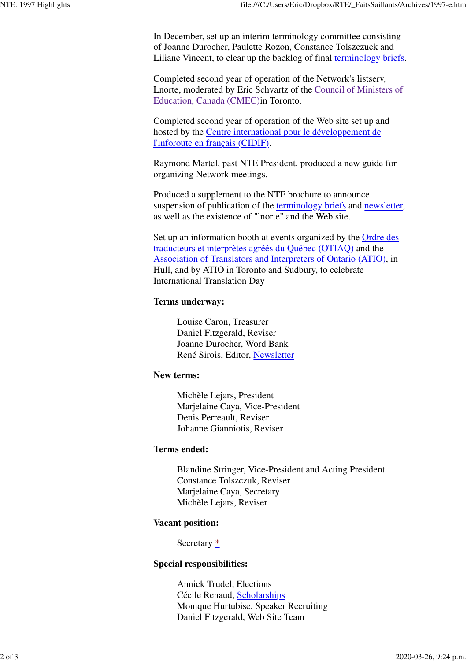In December, set up an interim terminology committee consisting of Joanne Durocher, Paulette Rozon, Constance Tolszczuck and Liliane Vincent, to clear up the backlog of final terminology briefs.

Completed second year of operation of the Network's listserv, Lnorte, moderated by Eric Schvartz of the Council of Ministers of Education, Canada (CMEC)in Toronto.

Completed second year of operation of the Web site set up and hosted by the Centre international pour le développement de l'inforoute en français (CIDIF).

Raymond Martel, past NTE President, produced a new guide for organizing Network meetings.

Produced a supplement to the NTE brochure to announce suspension of publication of the terminology briefs and newsletter, as well as the existence of "lnorte" and the Web site.

Set up an information booth at events organized by the Ordre des traducteurs et interprètes agréés du Québec (OTIAQ) and the Association of Translators and Interpreters of Ontario (ATIO), in Hull, and by ATIO in Toronto and Sudbury, to celebrate International Translation Day

### **Terms underway:**

Louise Caron, Treasurer Daniel Fitzgerald, Reviser Joanne Durocher, Word Bank René Sirois, Editor, Newsletter

### **New terms:**

Michèle Lejars, President Marjelaine Caya, Vice-President Denis Perreault, Reviser Johanne Gianniotis, Reviser

### **Terms ended:**

Blandine Stringer, Vice-President and Acting President Constance Tolszczuk, Reviser Marjelaine Caya, Secretary Michèle Lejars, Reviser

### **Vacant position:**

Secretary \*

### **Special responsibilities:**

Annick Trudel, Elections Cécile Renaud, Scholarships Monique Hurtubise, Speaker Recruiting Daniel Fitzgerald, Web Site Team